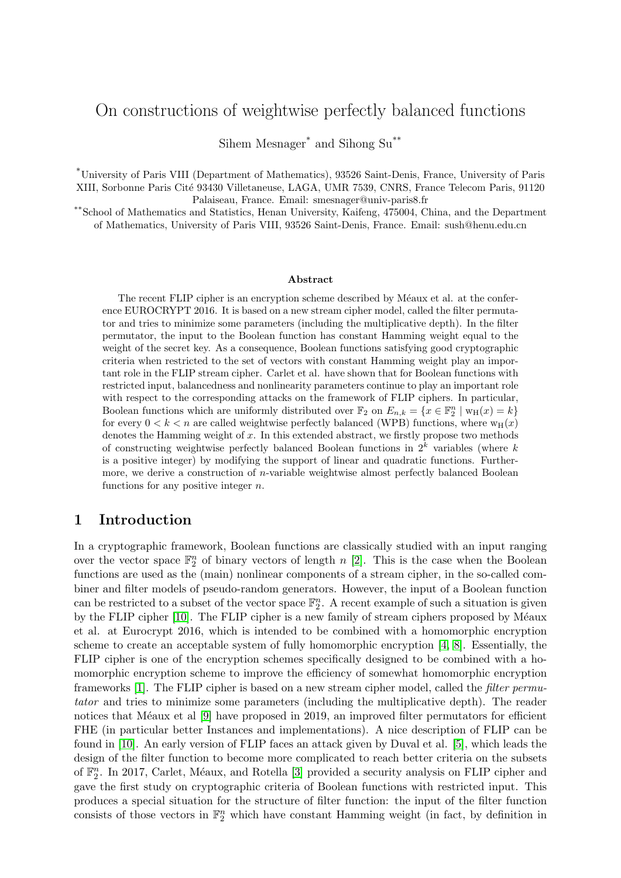# On constructions of weightwise perfectly balanced functions

Sihem Mesnager\* and Sihong Su\*\*

\*University of Paris VIII (Department of Mathematics), 93526 Saint-Denis, France, University of Paris XIII, Sorbonne Paris Cité 93430 Villetaneuse, LAGA, UMR 7539, CNRS, France Telecom Paris, 91120 Palaiseau, France. Email: smesnager@univ-paris8.fr

\*\*School of Mathematics and Statistics, Henan University, Kaifeng, 475004, China, and the Department of Mathematics, University of Paris VIII, 93526 Saint-Denis, France. Email: sush@henu.edu.cn

#### Abstract

The recent FLIP cipher is an encryption scheme described by Méaux et al. at the conference EUROCRYPT 2016. It is based on a new stream cipher model, called the filter permutator and tries to minimize some parameters (including the multiplicative depth). In the filter permutator, the input to the Boolean function has constant Hamming weight equal to the weight of the secret key. As a consequence, Boolean functions satisfying good cryptographic criteria when restricted to the set of vectors with constant Hamming weight play an important role in the FLIP stream cipher. Carlet et al. have shown that for Boolean functions with restricted input, balancedness and nonlinearity parameters continue to play an important role with respect to the corresponding attacks on the framework of FLIP ciphers. In particular, Boolean functions which are uniformly distributed over  $\mathbb{F}_2$  on  $E_{n,k} = \{x \in \mathbb{F}_2^n \mid w_H(x) = k\}$ for every  $0 < k < n$  are called weightwise perfectly balanced (WPB) functions, where  $w_H(x)$ denotes the Hamming weight of  $x$ . In this extended abstract, we firstly propose two methods of constructing weightwise perfectly balanced Boolean functions in  $2^k$  variables (where k is a positive integer) by modifying the support of linear and quadratic functions. Furthermore, we derive a construction of n-variable weightwise almost perfectly balanced Boolean functions for any positive integer  $n$ .

### 1 Introduction

In a cryptographic framework, Boolean functions are classically studied with an input ranging over the vector space  $\mathbb{F}_2^n$  of binary vectors of length n [\[2\]](#page-4-0). This is the case when the Boolean functions are used as the (main) nonlinear components of a stream cipher, in the so-called combiner and filter models of pseudo-random generators. However, the input of a Boolean function can be restricted to a subset of the vector space  $\mathbb{F}_2^n$ . A recent example of such a situation is given by the FLIP cipher [\[10\]](#page-4-1). The FLIP cipher is a new family of stream ciphers proposed by Méaux et al. at Eurocrypt 2016, which is intended to be combined with a homomorphic encryption scheme to create an acceptable system of fully homomorphic encryption [\[4,](#page-4-2) [8\]](#page-4-3). Essentially, the FLIP cipher is one of the encryption schemes specifically designed to be combined with a homomorphic encryption scheme to improve the efficiency of somewhat homomorphic encryption frameworks [\[1\]](#page-4-4). The FLIP cipher is based on a new stream cipher model, called the filter permutator and tries to minimize some parameters (including the multiplicative depth). The reader notices that Méaux et al  $[9]$  have proposed in 2019, an improved filter permutators for efficient FHE (in particular better Instances and implementations). A nice description of FLIP can be found in [\[10\]](#page-4-1). An early version of FLIP faces an attack given by Duval et al. [\[5\]](#page-4-6), which leads the design of the filter function to become more complicated to reach better criteria on the subsets of  $\mathbb{F}_2^n$ . In 2017, Carlet, Méaux, and Rotella [\[3\]](#page-4-7) provided a security analysis on FLIP cipher and gave the first study on cryptographic criteria of Boolean functions with restricted input. This produces a special situation for the structure of filter function: the input of the filter function consists of those vectors in  $\mathbb{F}_2^n$  which have constant Hamming weight (in fact, by definition in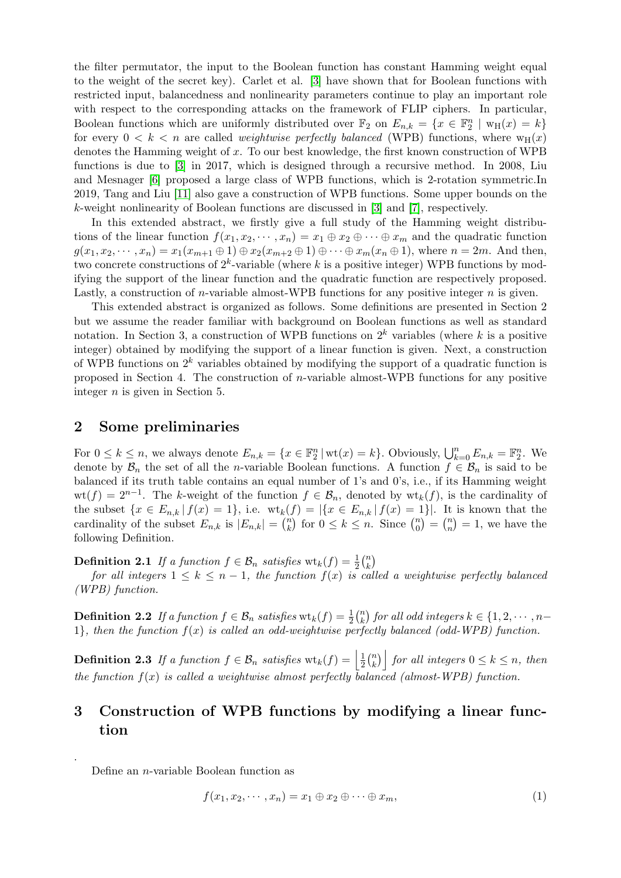the filter permutator, the input to the Boolean function has constant Hamming weight equal to the weight of the secret key). Carlet et al. [\[3\]](#page-4-7) have shown that for Boolean functions with restricted input, balancedness and nonlinearity parameters continue to play an important role with respect to the corresponding attacks on the framework of FLIP ciphers. In particular, Boolean functions which are uniformly distributed over  $\mathbb{F}_2$  on  $E_{n,k} = \{x \in \mathbb{F}_2^n \mid w_H(x) = k\}$ for every  $0 < k < n$  are called *weightwise perfectly balanced* (WPB) functions, where  $w_H(x)$ denotes the Hamming weight of x. To our best knowledge, the first known construction of WPB functions is due to [\[3\]](#page-4-7) in 2017, which is designed through a recursive method. In 2008, Liu and Mesnager [\[6\]](#page-4-8) proposed a large class of WPB functions, which is 2-rotation symmetric.In 2019, Tang and Liu [\[11\]](#page-4-9) also gave a construction of WPB functions. Some upper bounds on the k-weight nonlinearity of Boolean functions are discussed in [\[3\]](#page-4-7) and [\[7\]](#page-4-10), respectively.

In this extended abstract, we firstly give a full study of the Hamming weight distributions of the linear function  $f(x_1, x_2, \dots, x_n) = x_1 \oplus x_2 \oplus \dots \oplus x_m$  and the quadratic function  $g(x_1, x_2, \dots, x_n) = x_1(x_{m+1} \oplus 1) \oplus x_2(x_{m+2} \oplus 1) \oplus \dots \oplus x_m(x_n \oplus 1)$ , where  $n = 2m$ . And then, two concrete constructions of  $2^k$ -variable (where k is a positive integer) WPB functions by modifying the support of the linear function and the quadratic function are respectively proposed. Lastly, a construction of *n*-variable almost-WPB functions for any positive integer  $n$  is given.

This extended abstract is organized as follows. Some definitions are presented in Section 2 but we assume the reader familiar with background on Boolean functions as well as standard notation. In Section 3, a construction of WPB functions on  $2^k$  variables (where k is a positive integer) obtained by modifying the support of a linear function is given. Next, a construction of WPB functions on  $2^k$  variables obtained by modifying the support of a quadratic function is proposed in Section 4. The construction of n-variable almost-WPB functions for any positive integer  $n$  is given in Section 5.

#### 2 Some preliminaries

For  $0 \leq k \leq n$ , we always denote  $E_{n,k} = \{x \in \mathbb{F}_2^n \mid \text{wt}(x) = k\}$ . Obviously,  $\bigcup_{k=0}^n E_{n,k} = \mathbb{F}_2^n$ . We denote by  $\mathcal{B}_n$  the set of all the *n*-variable Boolean functions. A function  $f \in \mathcal{B}_n$  is said to be balanced if its truth table contains an equal number of 1's and 0's, i.e., if its Hamming weight  $wt(f) = 2^{n-1}$ . The k-weight of the function  $f \in \mathcal{B}_n$ , denoted by  $wt_k(f)$ , is the cardinality of the subset  $\{x \in E_{n,k} | f(x) = 1\}$ , i.e.  $\text{wt}_k(f) = |\{x \in E_{n,k} | f(x) = 1\}|$ . It is known that the cardinality of the subset  $E_{n,k}$  is  $|E_{n,k}| = {n \choose k}$  ${k \choose k}$  for  $0 \leq k \leq n$ . Since  ${n \choose 0}$  $\binom{n}{0} = \binom{n}{n}$  $\binom{n}{n} = 1$ , we have the following Definition.

**Definition 2.1** If a function  $f \in \mathcal{B}_n$  satisfies  $\text{wt}_k(f) = \frac{1}{2} {n \choose k}$  $\binom{n}{k}$ 

for all integers  $1 \leq k \leq n-1$ , the function  $f(x)$  is called a weightwise perfectly balanced (WPB) function.

**Definition 2.2** If a function  $f \in \mathcal{B}_n$  satisfies  $\text{wt}_k(f) = \frac{1}{2} {n \choose k}$  $\binom{n}{k}$  for all odd integers  $k \in \{1, 2, \cdots, n-1\}$ 1}, then the function  $f(x)$  is called an odd-weightwise perfectly balanced (odd-WPB) function.

**Definition 2.3** If a function  $f \in \mathcal{B}_n$  satisfies  $\text{wt}_k(f) = \left| \frac{1}{2} \right|$  $\frac{1}{2}$  $\binom{n}{k}$  $\binom{n}{k}$  for all integers  $0 \leq k \leq n$ , then the function  $f(x)$  is called a weightwise almost perfectly balanced (almost-WPB) function.

# 3 Construction of WPB functions by modifying a linear function

Define an n-variable Boolean function as

.

<span id="page-1-0"></span>
$$
f(x_1, x_2, \cdots, x_n) = x_1 \oplus x_2 \oplus \cdots \oplus x_m,
$$
\n(1)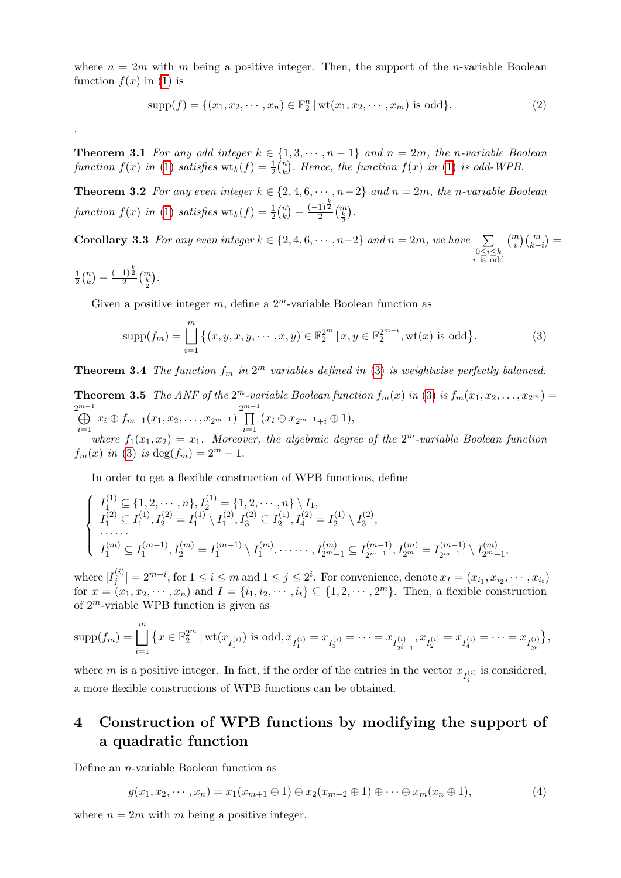where  $n = 2m$  with m being a positive integer. Then, the support of the n-variable Boolean function  $f(x)$  in [\(1\)](#page-1-0) is

$$
supp(f) = \{(x_1, x_2, \cdots, x_n) \in \mathbb{F}_2^n \mid \text{wt}(x_1, x_2, \cdots, x_m) \text{ is odd}\}.
$$
 (2)

**Theorem 3.1** For any odd integer  $k \in \{1, 3, \dots, n-1\}$  and  $n = 2m$ , the n-variable Boolean function  $f(x)$  in [\(1\)](#page-1-0) satisfies  $\operatorname{wt}_k(f) = \frac{1}{2} {n \choose k}$  $\binom{n}{k}$ . Hence, the function  $f(x)$  in [\(1\)](#page-1-0) is odd-WPB.

**Theorem 3.2** For any even integer  $k \in \{2, 4, 6, \dots, n-2\}$  and  $n = 2m$ , the n-variable Boolean function  $f(x)$  in [\(1\)](#page-1-0) satisfies  $\operatorname{wt}_k(f) = \frac{1}{2} {n \choose k}$  $\binom{n}{k} - \frac{(-1)^{\frac{k}{2}}}{2}$  $\frac{1}{2}^{\frac{1}{2}}\binom{m}{\frac{k}{2}}$ .

**Corollary 3.3** For any even integer  $k \in \{2, 4, 6, \cdots, n-2\}$  and  $n = 2m$ , we have  $\sum$ 0≤*i*≤k<br>*i* is odd  $\displaystyle \binom{m}{i}\binom{m}{k-i}=$ 

$$
\frac{1}{2}\binom{n}{k} - \frac{(-1)^{\frac{k}{2}}}{2}\binom{m}{\frac{k}{2}}.
$$

.

Given a positive integer  $m$ , define a  $2^m$ -variable Boolean function as

<span id="page-2-0"></span>
$$
\text{supp}(f_m) = \bigsqcup_{i=1}^m \left\{ (x, y, x, y, \cdots, x, y) \in \mathbb{F}_2^{2^m} \mid x, y \in \mathbb{F}_2^{2^{m-i}}, \text{wt}(x) \text{ is odd} \right\}.
$$
 (3)

**Theorem 3.4** The function  $f_m$  in  $2^m$  variables defined in [\(3\)](#page-2-0) is weightwise perfectly balanced.

**Theorem 3.5** The ANF of the  $2^m$ -variable Boolean function  $f_m(x)$  in [\(3\)](#page-2-0) is  $f_m(x_1, x_2, \ldots, x_{2^m}) =$  $\overset{2^{m-1}}{\bigoplus}$  $\bigoplus_{i=1}^{m-1} x_i \oplus f_{m-1}(x_1, x_2, \ldots, x_{2^{m-1}}) \prod_{i=1}^{2^{m-1}}$  $\prod_{i=1} (x_i \oplus x_{2^{m-1}+i} \oplus 1),$ 

where  $f_1(x_1, x_2) = x_1$ . Moreover, the algebraic degree of the  $2^m$ -variable Boolean function  $f_m(x)$  in [\(3\)](#page-2-0) is deg( $f_m$ ) =  $2^m - 1$ .

In order to get a flexible construction of WPB functions, define

$$
\begin{cases}\nI_1^{(1)} \subseteq \{1, 2, \cdots, n\}, I_2^{(1)} = \{1, 2, \cdots, n\} \setminus I_1, \\
I_1^{(2)} \subseteq I_1^{(1)}, I_2^{(2)} = I_1^{(1)} \setminus I_1^{(2)}, I_3^{(2)} \subseteq I_2^{(1)}, I_4^{(2)} = I_2^{(1)} \setminus I_3^{(2)}, \\
\cdots \cdots \\
I_1^{(m)} \subseteq I_1^{(m-1)}, I_2^{(m)} = I_1^{(m-1)} \setminus I_1^{(m)}, \cdots \cdots, I_{2m-1}^{(m)} \subseteq I_{2m-1}^{(m-1)}, I_{2m}^{(m)} = I_{2m-1}^{(m-1)} \setminus I_{2m-1}^{(m)},\n\end{cases}
$$

where  $|I_i^{(i)}|$  $|j^{(i)}|=2^{m-i}, \text{for } 1\leq i\leq m \text{ and } 1\leq j\leq 2^i.$  For convenience, denote  $x_I=(x_{i_1},x_{i_2},\cdots,x_{i_t})$ for  $x = (x_1, x_2, \dots, x_n)$  and  $I = \{i_1, i_2, \dots, i_t\} \subseteq \{1, 2, \dots, 2^m\}$ . Then, a flexible construction of  $2^m$ -vriable WPB function is given as

$$
\mathrm{supp}(f_m) = \bigsqcup_{i=1}^m \left\{ x \in \mathbb{F}_2^{2^m} \mid \mathrm{wt}(x_{I_1^{(i)}}) \text{ is odd}, x_{I_1^{(i)}} = x_{I_3^{(i)}} = \cdots = x_{I_{2^i-1}^{(i)}}, x_{I_2^{(i)}} = x_{I_4^{(i)}} = \cdots = x_{I_{2^i}^{(i)}} \right\},
$$

where m is a positive integer. In fact, if the order of the entries in the vector  $x_{I_j^{(i)}}$  is considered, a more flexible constructions of WPB functions can be obtained.

## 4 Construction of WPB functions by modifying the support of a quadratic function

Define an n-variable Boolean function as

<span id="page-2-1"></span>
$$
g(x_1, x_2, \cdots, x_n) = x_1(x_{m+1} \oplus 1) \oplus x_2(x_{m+2} \oplus 1) \oplus \cdots \oplus x_m(x_n \oplus 1),
$$
\n<sup>(4)</sup>

where  $n = 2m$  with m being a positive integer.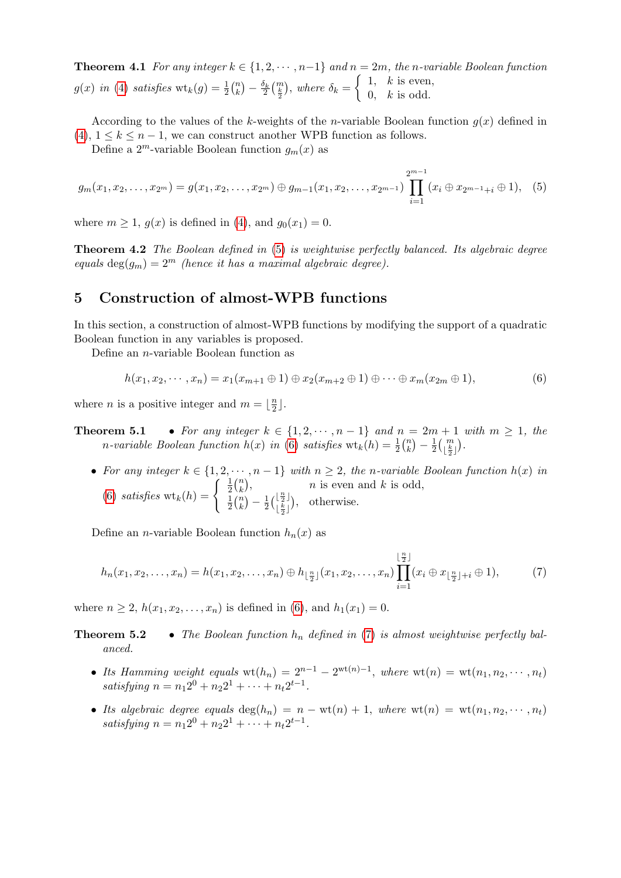**Theorem 4.1** For any integer  $k \in \{1, 2, \dots, n-1\}$  and  $n = 2m$ , the n-variable Boolean function  $g(x)$  in [\(4\)](#page-2-1) satisfies  $\text{wt}_k(g) = \frac{1}{2} {n \choose k}$  $\binom{n}{k} - \frac{\delta_k}{2} \binom{m}{\frac{k}{2}}, \text{ where } \delta_k = \begin{cases} 1, & k \text{ is even,} \\ 0, & k \text{ is odd.} \end{cases}$ 0,  $k$  is odd.

According to the values of the k-weights of the n-variable Boolean function  $q(x)$  defined in [\(4\)](#page-2-1),  $1 \leq k \leq n-1$ , we can construct another WPB function as follows.

Define a  $2^m$ -variable Boolean function  $g_m(x)$  as

<span id="page-3-0"></span>
$$
g_m(x_1, x_2, \ldots, x_{2^m}) = g(x_1, x_2, \ldots, x_{2^m}) \oplus g_{m-1}(x_1, x_2, \ldots, x_{2^{m-1}}) \prod_{i=1}^{2^{m-1}} (x_i \oplus x_{2^{m-1}+i} \oplus 1), \quad (5)
$$

where  $m \geq 1$ ,  $g(x)$  is defined in [\(4\)](#page-2-1), and  $g_0(x_1) = 0$ .

**Theorem 4.2** The Boolean defined in [\(5\)](#page-3-0) is weightwise perfectly balanced. Its algebraic degree equals deg $(g_m) = 2^m$  (hence it has a maximal algebraic degree).

#### 5 Construction of almost-WPB functions

In this section, a construction of almost-WPB functions by modifying the support of a quadratic Boolean function in any variables is proposed.

Define an n-variable Boolean function as

<span id="page-3-1"></span>
$$
h(x_1, x_2, \cdots, x_n) = x_1(x_{m+1} \oplus 1) \oplus x_2(x_{m+2} \oplus 1) \oplus \cdots \oplus x_m(x_{2m} \oplus 1),
$$
\n(6)

where *n* is a positive integer and  $m = \frac{n}{2}$  $\frac{n}{2}$ .

**Theorem 5.1** • For any integer  $k \in \{1, 2, \dots, n-1\}$  and  $n = 2m + 1$  with  $m \ge 1$ , the n-variable Boolean function  $h(x)$  in [\(6\)](#page-3-1) satisfies  $\mathrm{wt}_k(h) = \frac{1}{2} {n \choose k}$  $\binom{n}{k} - \frac{1}{2}$  $\frac{1}{2} { \left( \frac{m}{\frac{k}{2}} \right) }$  .

• For any integer  $k \in \{1, 2, \dots, n-1\}$  with  $n \geq 2$ , the n-variable Boolean function  $h(x)$  in [\(6\)](#page-3-1) satisfies  $\text{wt}_k(h) = \begin{cases} \frac{1}{2} \\ 1 \end{cases}$  $rac{1}{2}$  $\binom{n}{k}$  $\binom{n}{k}$ , n is even and k is odd, 1  $\frac{1}{2}$  $\binom{n}{k}$  $\binom{n}{k} - \frac{1}{2}$  $\frac{1}{2} \left( \frac{\lfloor \frac{n}{2} \rfloor}{\lfloor \frac{k}{2} \rfloor} \right)$  $\begin{bmatrix} \frac{1}{2} \\ \frac{k}{2} \end{bmatrix}$ , otherwise.

Define an *n*-variable Boolean function  $h_n(x)$  as

<span id="page-3-2"></span>
$$
h_n(x_1, x_2, \dots, x_n) = h(x_1, x_2, \dots, x_n) \oplus h_{\lfloor \frac{n}{2} \rfloor}(x_1, x_2, \dots, x_n) \prod_{i=1}^{\lfloor \frac{n}{2} \rfloor} (x_i \oplus x_{\lfloor \frac{n}{2} \rfloor + i} \oplus 1),
$$
 (7)

where  $n \ge 2$ ,  $h(x_1, x_2, ..., x_n)$  is defined in [\(6\)](#page-3-1), and  $h_1(x_1) = 0$ .

**Theorem 5.2** • The Boolean function  $h_n$  defined in [\(7\)](#page-3-2) is almost weightwise perfectly balanced.

- Its Hamming weight equals  $\text{wt}(h_n) = 2^{n-1} 2^{\text{wt}(n)-1}$ , where  $\text{wt}(n) = \text{wt}(n_1, n_2, \dots, n_t)$ satisfying  $n = n_1 2^0 + n_2 2^1 + \cdots + n_t 2^{t-1}$ .
- Its algebraic degree equals  $\deg(h_n) = n \text{wt}(n) + 1$ , where  $\text{wt}(n) = \text{wt}(n_1, n_2, \dots, n_t)$ satisfying  $n = n_1 2^0 + n_2 2^1 + \cdots + n_t 2^{t-1}$ .